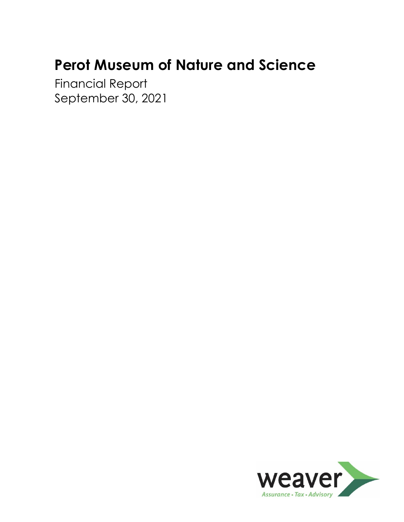Financial Report September 30, 2021

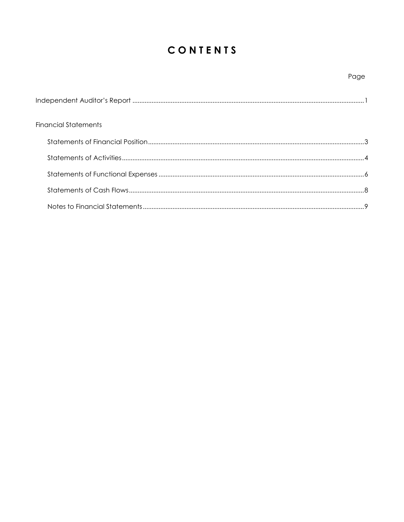# CONTENTS

### Page

| <b>Financial Statements</b> |  |
|-----------------------------|--|
|                             |  |
|                             |  |
|                             |  |
|                             |  |
|                             |  |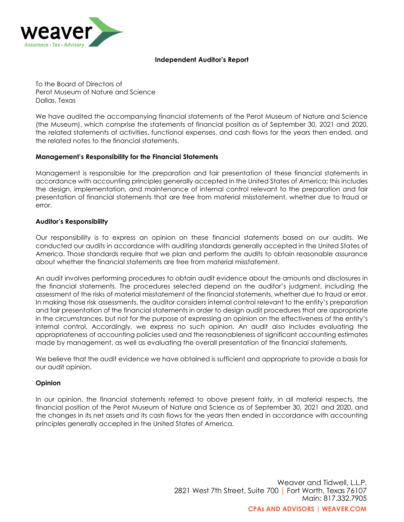

#### **Independent Auditor's Report**

To the Board of Directors of Perot Museum of Nature and Science Dallas, Texas

We have audited the accompanying financial statements of the Perot Museum of Nature and Science (the Museum), which comprise the statements of financial position as of September 30, 2021 and 2020, the related statements of activities, functional expenses, and cash flows for the years then ended, and the related notes to the financial statements.

#### **Management's Responsibility for the Financial Statements**

Management is responsible for the preparation and fair presentation of these financial statements in accordance with accounting principles generally accepted in the United States of America; this includes the design, implementation, and maintenance of internal control relevant to the preparation and fair presentation of financial statements that are free from material misstatement, whether due to fraud or error.

#### **Auditor's Responsibility**

Our responsibility is to express an opinion on these financial statements based on our audits. We conducted our audits in accordance with auditing standards generally accepted in the United States of America. Those standards require that we plan and perform the audits to obtain reasonable assurance about whether the financial statements are free from material misstatement.

An audit involves performing procedures to obtain audit evidence about the amounts and disclosures in the financial statements. The procedures selected depend on the auditor's judgment, including the assessment of the risks of material misstatement of the financial statements, whether due to fraud or error. In making those risk assessments, the auditor considers internal control relevant to the entity's preparation and fair presentation of the financial statements in order to design audit procedures that are appropriate in the circumstances, but not for the purpose of expressing an opinion on the effectiveness of the entity's internal control. Accordingly, we express no such opinion. An audit also includes evaluating the appropriateness of accounting policies used and the reasonableness of significant accounting estimates made by management, as well as evaluating the overall presentation of the financial statements.

We believe that the audit evidence we have obtained is sufficient and appropriate to provide a basis for our audit opinion.

#### **Opinion**

In our opinion, the financial statements referred to above present fairly, in all material respects, the financial position of the Perot Museum of Nature and Science as of September 30, 2021 and 2020, and the changes in its net assets and its cash flows for the years then ended in accordance with accounting principles generally accepted in the United States of America.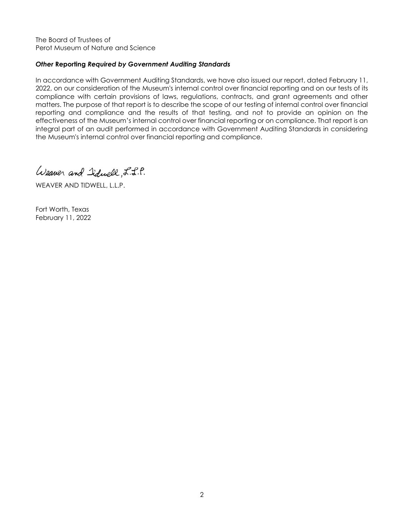The Board of Trustees of Perot Museum of Nature and Science

#### *Other* **Reporting** *Required by Government Auditing Standards*

In accordance with Government Auditing Standards, we have also issued our report, dated February 11, 2022, on our consideration of the Museum's internal control over financial reporting and on our tests of its compliance with certain provisions of laws, regulations, contracts, and grant agreements and other matters. The purpose of that report is to describe the scope of our testing of internal control over financial reporting and compliance and the results of that testing, and not to provide an opinion on the effectiveness of the Museum's internal control over financial reporting or on compliance. That report is an integral part of an audit performed in accordance with Government Auditing Standards in considering the Museum's internal control over financial reporting and compliance.

Weaver and Iiduell, L.L.P.

WEAVER AND TIDWELL, L.L.P.

Fort Worth, Texas February 11, 2022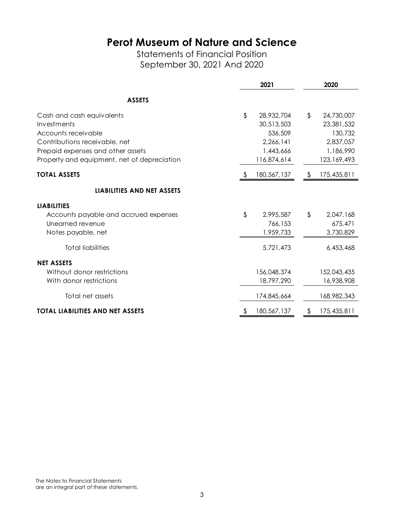Statements of Financial Position September 30, 2021 And 2020

|                                             |               | 2021        |                         | 2020          |
|---------------------------------------------|---------------|-------------|-------------------------|---------------|
| <b>ASSETS</b>                               |               |             |                         |               |
| Cash and cash equivalents                   | \$            | 28,932,704  | $\sqrt[6]{\frac{1}{2}}$ | 24,730,007    |
| Investments                                 |               | 30,513,503  |                         | 23,381,532    |
| Accounts receivable                         |               | 536,509     |                         | 130,732       |
| Contributions receivable, net               |               | 2,266,141   |                         | 2,837,057     |
| Prepaid expenses and other assets           |               | 1,443,666   |                         | 1,186,990     |
| Property and equipment, net of depreciation |               | 116,874,614 |                         | 123, 169, 493 |
| <b>TOTAL ASSETS</b>                         | \$            | 180,567,137 | \$.                     | 175,435,811   |
| <b>LIABILITIES AND NET ASSETS</b>           |               |             |                         |               |
| <b>LIABILITIES</b>                          |               |             |                         |               |
| Accounts payable and accrued expenses       | $\frac{1}{2}$ | 2,995,587   | \$                      | 2,047,168     |
| Unearned revenue                            |               | 766,153     |                         | 675,471       |
| Notes payable, net                          |               | 1,959,733   |                         | 3,730,829     |
| <b>Total liabilities</b>                    |               | 5,721,473   |                         | 6,453,468     |
| <b>NET ASSETS</b>                           |               |             |                         |               |
| Without donor restrictions                  |               | 156,048,374 |                         | 152,043,435   |
| With donor restrictions                     |               | 18,797,290  |                         | 16,938,908    |
| Total net assets                            |               | 174,845,664 |                         | 168,982,343   |
| TOTAL LIABILITIES AND NET ASSETS            | \$            | 180,567,137 | \$                      | 175,435,811   |

The Notes to Financial Statements are an integral part of these statements.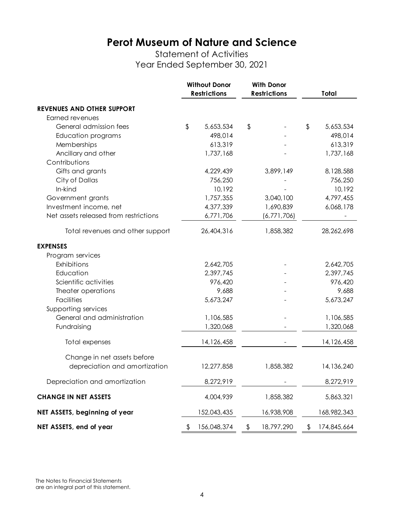Statement of Activities Year Ended September 30, 2021

|                                       | <b>Without Donor</b><br><b>Restrictions</b> |              | <b>With Donor</b><br><b>Restrictions</b> |    | Total       |
|---------------------------------------|---------------------------------------------|--------------|------------------------------------------|----|-------------|
| <b>REVENUES AND OTHER SUPPORT</b>     |                                             |              |                                          |    |             |
| Earned revenues                       |                                             |              |                                          |    |             |
| General admission fees                | \$                                          | 5,653,534    | \$                                       | \$ | 5,653,534   |
| Education programs                    |                                             | 498,014      |                                          |    | 498,014     |
| Memberships                           |                                             | 613,319      |                                          |    | 613,319     |
| Ancillary and other                   |                                             | 1,737,168    |                                          |    | 1,737,168   |
| Contributions                         |                                             |              |                                          |    |             |
| Gifts and grants                      |                                             | 4,229,439    | 3,899,149                                |    | 8,128,588   |
| City of Dallas                        |                                             | 756,250      |                                          |    | 756,250     |
| In-kind                               |                                             | 10,192       |                                          |    | 10,192      |
| Government grants                     |                                             | 1,757,355    | 3,040,100                                |    | 4,797,455   |
| Investment income, net                |                                             | 4,377,339    | 1,690,839                                |    | 6,068,178   |
| Net assets released from restrictions |                                             | 6,771,706    | (6,771,706)                              |    |             |
| Total revenues and other support      |                                             | 26,404,316   | 1,858,382                                |    | 28,262,698  |
| <b>EXPENSES</b>                       |                                             |              |                                          |    |             |
| Program services                      |                                             |              |                                          |    |             |
| Exhibitions                           |                                             | 2,642,705    |                                          |    | 2,642,705   |
| Education                             |                                             | 2,397,745    |                                          |    | 2,397,745   |
| Scientific activities                 |                                             | 976,420      |                                          |    | 976,420     |
| Theater operations                    |                                             | 9,688        |                                          |    | 9,688       |
| <b>Facilities</b>                     |                                             | 5,673,247    |                                          |    | 5,673,247   |
| Supporting services                   |                                             |              |                                          |    |             |
| General and administration            |                                             | 1,106,585    |                                          |    | 1,106,585   |
| Fundraising                           |                                             | 1,320,068    |                                          |    | 1,320,068   |
| Total expenses                        |                                             | 14, 126, 458 |                                          |    | 14,126,458  |
| Change in net assets before           |                                             |              |                                          |    |             |
| depreciation and amortization         |                                             | 12,277,858   | 1,858,382                                |    | 14,136,240  |
| Depreciation and amortization         |                                             | 8,272,919    |                                          |    | 8,272,919   |
| <b>CHANGE IN NET ASSETS</b>           |                                             | 4,004,939    | 1,858,382                                |    | 5,863,321   |
| NET ASSETS, beginning of year         |                                             | 152,043,435  | 16,938,908                               |    | 168,982,343 |
| NET ASSETS, end of year               | \$                                          | 156,048,374  | \$<br>18,797,290                         | \$ | 174,845,664 |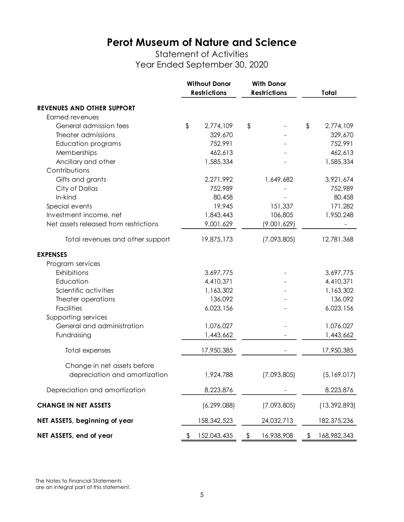Statement of Activities Year Ended September 30, 2020

|                                       | <b>Without Donor</b><br><b>Restrictions</b> |               |    | <b>With Donor</b><br><b>Restrictions</b> |    | Total          |
|---------------------------------------|---------------------------------------------|---------------|----|------------------------------------------|----|----------------|
| <b>REVENUES AND OTHER SUPPORT</b>     |                                             |               |    |                                          |    |                |
| Earned revenues                       |                                             |               |    |                                          |    |                |
| General admission fees                | \$                                          | 2,774,109     | \$ |                                          | \$ | 2,774,109      |
| Theater admissions                    |                                             | 329,670       |    |                                          |    | 329,670        |
| Education programs                    |                                             | 752,991       |    |                                          |    | 752,991        |
| Memberships                           |                                             | 462,613       |    |                                          |    | 462,613        |
| Ancillary and other                   |                                             | 1,585,334     |    |                                          |    | 1,585,334      |
| Contributions                         |                                             |               |    |                                          |    |                |
| Gifts and grants                      |                                             | 2,271,992     |    | 1,649,682                                |    | 3,921,674      |
| City of Dallas                        |                                             | 752,989       |    |                                          |    | 752,989        |
| In-kind                               |                                             | 80,458        |    |                                          |    | 80,458         |
| Special events                        |                                             | 19,945        |    | 151,337                                  |    | 171,282        |
| Investment income, net                |                                             | 1,843,443     |    | 106,805                                  |    | 1,950,248      |
| Net assets released from restrictions |                                             | 9,001,629     |    | (9,001,629)                              |    |                |
| Total revenues and other support      |                                             | 19,875,173    |    | (7,093,805)                              |    | 12,781,368     |
| <b>EXPENSES</b>                       |                                             |               |    |                                          |    |                |
| Program services                      |                                             |               |    |                                          |    |                |
| Exhibitions                           |                                             | 3,697,775     |    |                                          |    | 3,697,775      |
| Education                             |                                             | 4,410,371     |    |                                          |    | 4,410,371      |
| Scientific activities                 |                                             | 1,163,302     |    |                                          |    | 1,163,302      |
| Theater operations                    |                                             | 136,092       |    |                                          |    | 136,092        |
| <b>Facilities</b>                     |                                             | 6,023,156     |    |                                          |    | 6,023,156      |
| Supporting services                   |                                             |               |    |                                          |    |                |
| General and administration            |                                             | 1,076,027     |    |                                          |    | 1,076,027      |
| Fundraising                           |                                             | 1,443,662     |    |                                          |    | 1,443,662      |
| Total expenses                        |                                             | 17,950,385    |    |                                          |    | 17,950,385     |
| Change in net assets before           |                                             |               |    |                                          |    |                |
| depreciation and amortization         |                                             | 1,924,788     |    | (7,093,805)                              |    | (5,169,017)    |
| Depreciation and amortization         |                                             | 8,223,876     |    |                                          |    | 8,223,876      |
| <b>CHANGE IN NET ASSETS</b>           |                                             | (6, 299, 088) |    | (7,093,805)                              |    | (13, 392, 893) |
| NET ASSETS, beginning of year         |                                             | 158,342,523   |    | 24,032,713                               |    | 182,375,236    |
| NET ASSETS, end of year               |                                             | 152,043,435   | £. | 16,938,908                               | £. | 168,982,343    |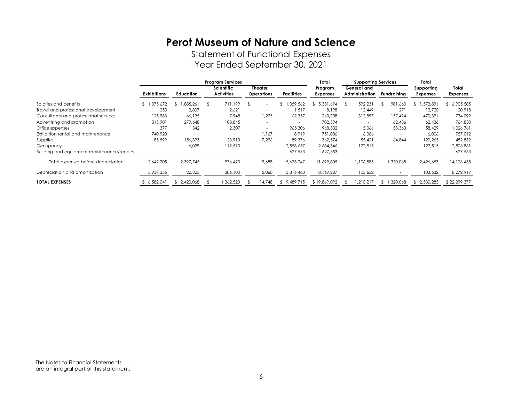Statement of Functional Expenses Year Ended September 30, 2021

|                                            | <b>Program Services</b> |                |                   |                                | Total             | <b>Supporting Services</b> |                       | Total                    |                 |              |
|--------------------------------------------|-------------------------|----------------|-------------------|--------------------------------|-------------------|----------------------------|-----------------------|--------------------------|-----------------|--------------|
|                                            |                         |                | <b>Scientific</b> | <b>Theater</b>                 |                   | Program                    | General and           |                          | Supporting      | Total        |
|                                            | <b>Exhibitions</b>      | Education      | <b>Activities</b> | Operations                     | <b>Facilities</b> | <b>Expenses</b>            | <b>Administration</b> | Fundraisina              | <b>Expenses</b> | Expenses     |
| Salaries and benefits                      | \$<br>,375,672          | ,885,261<br>J. | 711.199           | \$<br>$\overline{\phantom{a}}$ | 1,359,562<br>P.   | 5,331,694                  | 592,231               | 981,660                  | ,573,891        | \$6,905,585  |
| Travel and professional development        | 253                     | 3,807          | 2,621             |                                | 1.517             | 8,198                      | 12,449                | 271                      | 12,720          | 20,918       |
| Consultants and professional services      | 125,983                 | 66,195         | 7.948             | 1.225                          | 62,357            | 263,708                    | 312,897               | 157,494                  | 470,391         | 734,099      |
| Advertising and promotion                  | 313,901                 | 279,648        | 108,845           | $\overline{\phantom{a}}$       |                   | 702,394                    |                       | 62,436                   | 62,436          | 764,830      |
| Office expenses                            | 377                     | 342            | 2,307             | $\overline{\phantom{a}}$       | 965,306           | 968,332                    | 5,066                 | 53,363                   | 58,429          | 1,026,761    |
| Exhibition rental and maintenance          | 740,920                 | ۰              |                   | 1,167                          | 8.919             | 751,006                    | 6,006                 |                          | 6,006           | 757,012      |
| Supplies                                   | 85,599                  | 156,393        | 23,910            | 7,296                          | 89,376            | 362,574                    | 55,421                | 64,844                   | 120,265         | 482,839      |
| Occupancy                                  | -                       | 6.099          | 119,590           | $\overline{\phantom{a}}$       | 2,558,657         | 2.684.346                  | 122,515               | $\overline{\phantom{0}}$ | 122,515         | 2,806,861    |
| Building and equipment maintenance/repairs |                         |                |                   |                                | 627,553           | 627,553                    |                       |                          |                 | 627,553      |
| Total expenses before depreciation         | 2,642,705               | 2,397,745      | 976,420           | 9,688                          | 5,673,247         | 11,699,805                 | 1,106,585             | 1,320,068                | 2,426,653       | 14, 126, 458 |
| Depreciation and amortization              | 3,939,336               | 22,323         | 386,100           | 5,060                          | 3,816,468         | 8,169,287                  | 103,632               |                          | 103,632         | 8,272,919    |
| <b>TOTAL EXPENSES</b>                      | 6,582,041               | \$2,420,068    | 1,362,520         | 14,748                         | \$9,489,715       | \$19,869,092               | ,210,217              | ,320,068                 | 2,530,285       | \$22,399,377 |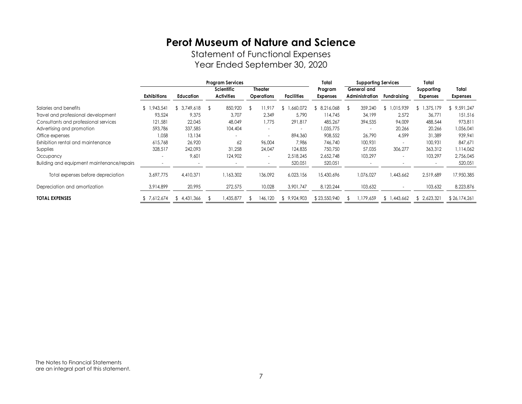Statement of Functional Expenses Year Ended September 30, 2020

|                                            | <b>Program Services</b> |                  |                          | Total                    | <b>Supporting Services</b> |                 | Total          |                 |                 |                 |
|--------------------------------------------|-------------------------|------------------|--------------------------|--------------------------|----------------------------|-----------------|----------------|-----------------|-----------------|-----------------|
|                                            |                         |                  | <b>Scientific</b>        | <b>Theater</b>           |                            | Program         | General and    |                 | Supporting      | Total           |
|                                            | <b>Exhibitions</b>      | <b>Education</b> | <b>Activities</b>        | <b>Operations</b>        | <b>Facilities</b>          | <b>Expenses</b> | Administration | Fundraising     | <b>Expenses</b> | <b>Expenses</b> |
| Salaries and benefits                      | ,943,541<br>\$.         | \$3,749,618      | 850,920                  | 1,917                    | ,660,072                   | 8,216,068       | 359,240        | ,015,939<br>Ψ   | 1,375,179       | 9,591,247<br>s. |
| Travel and professional development        | 93,524                  | 9,375            | 3,707                    | 2,349                    | 5,790                      | 114,745         | 34,199         | 2,572           | 36,771          | 151,516         |
| Consultants and professional services      | 121,581                 | 22,045           | 48,049                   | 1,775                    | 291,817                    | 485,267         | 394,535        | 94,009          | 488,544         | 973,811         |
| Advertising and promotion                  | 593,786                 | 337,585          | 104,404                  | $\overline{\phantom{a}}$ |                            | 1,035,775       |                | 20,266          | 20,266          | 1,056,041       |
| Office expenses                            | 1,058                   | 13,134           | $\overline{\phantom{0}}$ | $\overline{\phantom{a}}$ | 894,360                    | 908,552         | 26,790         | 4,599           | 31,389          | 939,941         |
| Exhibition rental and maintenance          | 615,768                 | 26,920           | 62                       | 96,004                   | 7.986                      | 746,740         | 100,931        |                 | 100,931         | 847,671         |
| Supplies                                   | 328,517                 | 242,093          | 31,258                   | 24,047                   | 124,835                    | 750,750         | 57,035         | 306,277         | 363,312         | 1,114,062       |
| Occupancy                                  |                         | 9,601            | 124,902                  | $\overline{\phantom{a}}$ | 2,518,245                  | 2,652,748       | 103,297        |                 | 103,297         | 2,756,045       |
| Building and equipment maintenance/repairs |                         |                  |                          |                          | 520,051                    | 520,051         |                |                 |                 | 520,051         |
| Total expenses before depreciation         | 3,697,775               | 4,410,371        | 1,163,302                | 136,092                  | 6,023,156                  | 15,430,696      | 1,076,027      | ,443,662        | 2,519,689       | 17,950,385      |
| Depreciation and amortization              | 3,914,899               | 20,995           | 272,575                  | 10,028                   | 3,901,747                  | 8,120,244       | 103,632        |                 | 103,632         | 8,223,876       |
| <b>TOTAL EXPENSES</b>                      | \$7,612,674             | \$4,431,366      | 1,435,877                | 146,120                  | \$9,924,903                | \$23,550,940    | , 179, 659     | 1,443,662<br>S. | 2,623,321       | \$26,174,261    |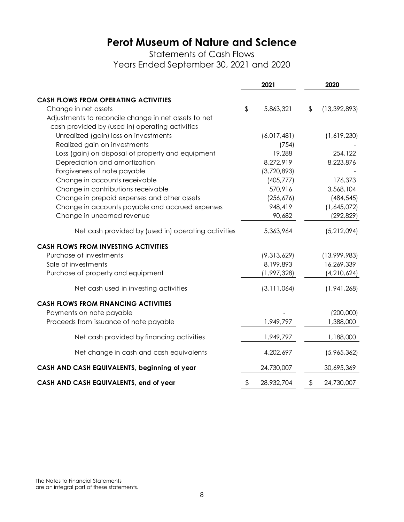Statements of Cash Flows Years Ended September 30, 2021 and 2020

|                                                      |               | 2021          | 2020                 |
|------------------------------------------------------|---------------|---------------|----------------------|
| <b>CASH FLOWS FROM OPERATING ACTIVITIES</b>          |               |               |                      |
| Change in net assets                                 | $\frac{1}{2}$ | 5,863,321     | \$<br>(13, 392, 893) |
| Adjustments to reconcile change in net assets to net |               |               |                      |
| cash provided by (used in) operating activities      |               |               |                      |
| Unrealized (gain) loss on investments                |               | (6,017,481)   | (1,619,230)          |
| Realized gain on investments                         |               | (754)         |                      |
| Loss (gain) on disposal of property and equipment    |               | 19,288        | 254,122              |
| Depreciation and amortization                        |               | 8,272,919     | 8,223,876            |
| Forgiveness of note payable                          |               | (3,720,893)   |                      |
| Change in accounts receivable                        |               | (405, 777)    | 176,373              |
| Change in contributions receivable                   |               | 570,916       | 3,568,104            |
| Change in prepaid expenses and other assets          |               | (256, 676)    | (484, 545)           |
| Change in accounts payable and accrued expenses      |               | 948,419       | (1,645,072)          |
| Change in unearned revenue                           |               | 90,682        | (292, 829)           |
| Net cash provided by (used in) operating activities  |               | 5,363,964     | (5,212,094)          |
| <b>CASH FLOWS FROM INVESTING ACTIVITIES</b>          |               |               |                      |
| Purchase of investments                              |               | (9,313,629)   | (13,999,983)         |
| Sale of investments                                  |               | 8,199,893     | 16,269,339           |
| Purchase of property and equipment                   |               | (1,997,328)   | (4, 210, 624)        |
| Net cash used in investing activities                |               | (3, 111, 064) | (1, 941, 268)        |
| <b>CASH FLOWS FROM FINANCING ACTIVITIES</b>          |               |               |                      |
| Payments on note payable                             |               |               | (200,000)            |
| Proceeds from issuance of note payable               |               | 1,949,797     | 1,388,000            |
| Net cash provided by financing activities            |               | 1,949,797     | 1,188,000            |
| Net change in cash and cash equivalents              |               | 4,202,697     | (5,965,362)          |
| CASH AND CASH EQUIVALENTS, beginning of year         |               | 24,730,007    | 30,695,369           |
| CASH AND CASH EQUIVALENTS, end of year               | \$            | 28,932,704    | \$<br>24,730,007     |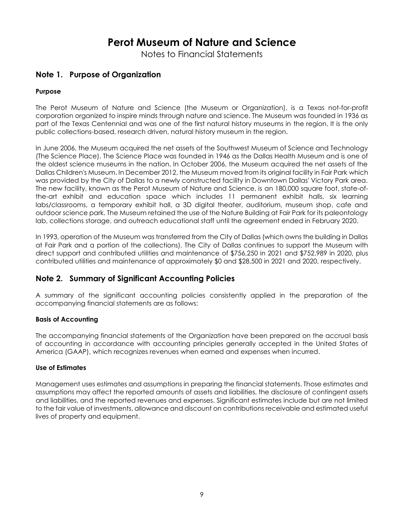Notes to Financial Statements

### **Note 1. Purpose of Organization**

### **Purpose**

The Perot Museum of Nature and Science (the Museum or Organization), is a Texas not-for-profit corporation organized to inspire minds through nature and science. The Museum was founded in 1936 as part of the Texas Centennial and was one of the first natural history museums in the region. It is the only public collections-based, research driven, natural history museum in the region.

In June 2006, the Museum acquired the net assets of the Southwest Museum of Science and Technology (The Science Place). The Science Place was founded in 1946 as the Dallas Health Museum and is one of the oldest science museums in the nation. In October 2006, the Museum acquired the net assets of the Dallas Children's Museum. In December 2012, the Museum moved from its original facility in Fair Park which was provided by the City of Dallas to a newly constructed facility in Downtown Dallas' Victory Park area. The new facility, known as the Perot Museum of Nature and Science, is an 180,000 square foot, state-ofthe-art exhibit and education space which includes 11 permanent exhibit halls, six learning labs/classrooms, a temporary exhibit hall, a 3D digital theater, auditorium, museum shop, cafe and outdoor science park. The Museum retained the use of the Nature Building at Fair Park for its paleontology lab, collections storage, and outreach educational staff until the agreement ended in February 2020.

In 1993, operation of the Museum was transferred from the City of Dallas (which owns the building in Dallas at Fair Park and a portion of the collections). The City of Dallas continues to support the Museum with direct support and contributed utilities and maintenance of \$756,250 in 2021 and \$752,989 in 2020, plus contributed utilities and maintenance of approximately \$0 and \$28,500 in 2021 and 2020, respectively.

### **Note 2. Summary of Significant Accounting Policies**

A summary of the significant accounting policies consistently applied in the preparation of the accompanying financial statements are as follows:

### **Basis of Accounting**

The accompanying financial statements of the Organization have been prepared on the accrual basis of accounting in accordance with accounting principles generally accepted in the United States of America (GAAP), which recognizes revenues when earned and expenses when incurred.

#### **Use of Estimates**

Management uses estimates and assumptions in preparing the financial statements. Those estimates and assumptions may affect the reported amounts of assets and liabilities, the disclosure of contingent assets and liabilities, and the reported revenues and expenses. Significant estimates include but are not limited to the fair value of investments, allowance and discount on contributions receivable and estimated useful lives of property and equipment.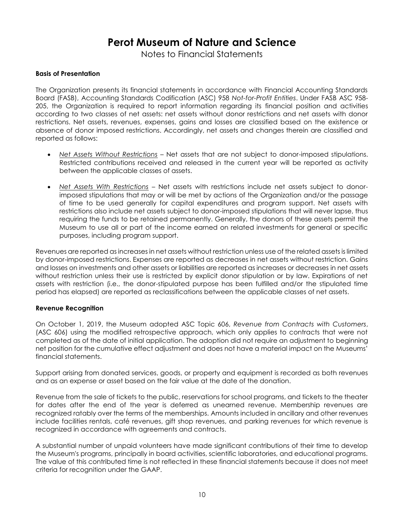Notes to Financial Statements

#### **Basis of Presentation**

The Organization presents its financial statements in accordance with Financial Accounting Standards Board (FASB), Accounting Standards Codification (ASC) 958 *Not-for-Profit Entities*. Under FASB ASC 958- 205, the Organization is required to report information regarding its financial position and activities according to two classes of net assets: net assets without donor restrictions and net assets with donor restrictions. Net assets, revenues, expenses, gains and losses are classified based on the existence or absence of donor imposed restrictions. Accordingly, net assets and changes therein are classified and reported as follows:

- *Net Assets Without Restrictions* Net assets that are not subject to donor-imposed stipulations. Restricted contributions received and released in the current year will be reported as activity between the applicable classes of assets.
- *Net Assets With Restrictions* Net assets with restrictions include net assets subject to donorimposed stipulations that may or will be met by actions of the Organization and/or the passage of time to be used generally for capital expenditures and program support. Net assets with restrictions also include net assets subject to donor-imposed stipulations that will never lapse, thus requiring the funds to be retained permanently. Generally, the donors of these assets permit the Museum to use all or part of the income earned on related investments for general or specific purposes, including program support.

Revenues are reported as increases in net assets without restriction unless use of the related assets is limited by donor-imposed restrictions. Expenses are reported as decreases in net assets without restriction. Gains and losses on investments and other assets or liabilities are reported as increases or decreases in net assets without restriction unless their use is restricted by explicit donor stipulation or by law. Expirations of net assets with restriction (i.e., the donor-stipulated purpose has been fulfilled and/or the stipulated time period has elapsed) are reported as reclassifications between the applicable classes of net assets.

#### **Revenue Recognition**

On October 1, 2019, the Museum adopted ASC Topic 606, *Revenue from Contracts with Customers*, (ASC 606) using the modified retrospective approach, which only applies to contracts that were not completed as of the date of initial application. The adoption did not require an adjustment to beginning net position for the cumulative effect adjustment and does not have a material impact on the Museums' financial statements.

Support arising from donated services, goods, or property and equipment is recorded as both revenues and as an expense or asset based on the fair value at the date of the donation.

Revenue from the sale of tickets to the public, reservations for school programs, and tickets to the theater for dates after the end of the year is deferred as unearned revenue. Membership revenues are recognized ratably over the terms of the memberships. Amounts included in ancillary and other revenues include facilities rentals, café revenues, gift shop revenues, and parking revenues for which revenue is recognized in accordance with agreements and contracts.

A substantial number of unpaid volunteers have made significant contributions of their time to develop the Museum's programs, principally in board activities, scientific laboratories, and educational programs. The value of this contributed time is not reflected in these financial statements because it does not meet criteria for recognition under the GAAP.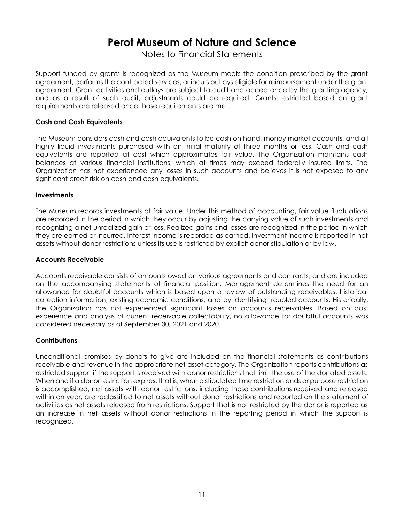Notes to Financial Statements

Support funded by grants is recognized as the Museum meets the condition prescribed by the grant agreement, performs the contracted services, or incurs outlays eligible for reimbursement under the grant agreement. Grant activities and outlays are subject to audit and acceptance by the granting agency, and as a result of such audit, adjustments could be required. Grants restricted based on grant requirements are released once those requirements are met.

#### **Cash and Cash Equivalents**

The Museum considers cash and cash equivalents to be cash on hand, money market accounts, and all highly liquid investments purchased with an initial maturity of three months or less. Cash and cash equivalents are reported at cost which approximates fair value. The Organization maintains cash balances at various financial institutions, which at times may exceed federally insured limits. The Organization has not experienced any losses in such accounts and believes it is not exposed to any significant credit risk on cash and cash equivalents.

#### **Investments**

The Museum records investments at fair value. Under this method of accounting, fair value fluctuations are recorded in the period in which they occur by adjusting the carrying value of such investments and recognizing a net unrealized gain or loss. Realized gains and losses are recognized in the period in which they are earned or incurred. Interest income is recorded as earned. Investment income is reported in net assets without donor restrictions unless its use is restricted by explicit donor stipulation or by law.

#### **Accounts Receivable**

Accounts receivable consists of amounts owed on various agreements and contracts, and are included on the accompanying statements of financial position. Management determines the need for an allowance for doubtful accounts which is based upon a review of outstanding receivables, historical collection information, existing economic conditions, and by identifying troubled accounts. Historically, the Organization has not experienced significant losses on accounts receivables. Based on past experience and analysis of current receivable collectability, no allowance for doubtful accounts was considered necessary as of September 30, 2021 and 2020.

#### **Contributions**

Unconditional promises by donors to give are included on the financial statements as contributions receivable and revenue in the appropriate net asset category. The Organization reports contributions as restricted support if the support is received with donor restrictions that limit the use of the donated assets. When and if a donor restriction expires, that is, when a stipulated time restriction ends or purpose restriction is accomplished, net assets with donor restrictions, including those contributions received and released within on year, are reclassified to net assets without donor restrictions and reported on the statement of activities as net assets released from restrictions. Support that is not restricted by the donor is reported as an increase in net assets without donor restrictions in the reporting period in which the support is recognized.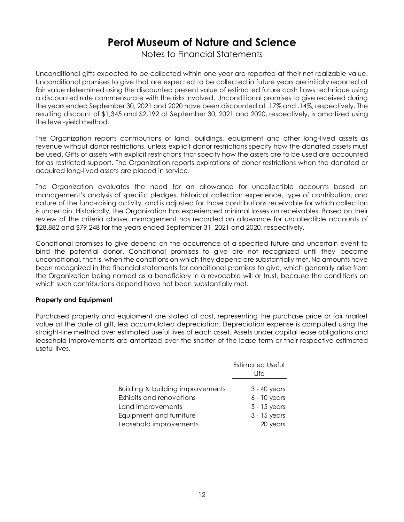Notes to Financial Statements

Unconditional gifts expected to be collected within one year are reported at their net realizable value. Unconditional promises to give that are expected to be collected in future years are initially reported at fair value determined using the discounted present value of estimated future cash flows technique using a discounted rate commensurate with the risks involved. Unconditional promises to give received during the years ended September 30, 2021 and 2020 have been discounted at .17% and .14%, respectively. The resulting discount of \$1,345 and \$2,192 at September 30, 2021 and 2020, respectively, is amortized using the level-yield method.

The Organization reports contributions of land, buildings, equipment and other long-lived assets as revenue without donor restrictions, unless explicit donor restrictions specify how the donated assets must be used. Gifts of assets with explicit restrictions that specify how the assets are to be used are accounted for as restricted support. The Organization reports expirations of donor restrictions when the donated or acquired long-lived assets are placed in service.

The Organization evaluates the need for an allowance for uncollectible accounts based on management's analysis of specific pledges, historical collection experience, type of contribution, and nature of the fund-raising activity, and is adjusted for those contributions receivable for which collection is uncertain. Historically, the Organization has experienced minimal losses on receivables. Based on their review of the criteria above, management has recorded an allowance for uncollectible accounts of \$28,882 and \$79,248 for the years ended September 31, 2021 and 2020, respectively.

Conditional promises to give depend on the occurrence of a specified future and uncertain event to bind the potential donor. Conditional promises to give are not recognized until they become unconditional, that is, when the conditions on which they depend are substantially met. No amounts have been recognized in the financial statements for conditional promises to give, which generally arise from the Organization being named as a beneficiary in a revocable will or trust, because the conditions on which such contributions depend have not been substantially met.

#### **Property and Equipment**

Purchased property and equipment are stated at cost, representing the purchase price or fair market value at the date of gift, less accumulated depreciation. Depreciation expense is computed using the straight-line method over estimated useful lives of each asset. Assets under capital lease obligations and leasehold improvements are amortized over the shorter of the lease term or their respective estimated useful lives.

|                                  | Estimated Useful<br>Life |
|----------------------------------|--------------------------|
| Building & building improvements | $3 - 40$ years           |
| Exhibits and renovations         | $6 - 10$ years           |
| Land improvements                | $5 - 15$ years           |
| Equipment and furniture          | $3 - 15$ years           |
| Leasehold improvements           | 20 years                 |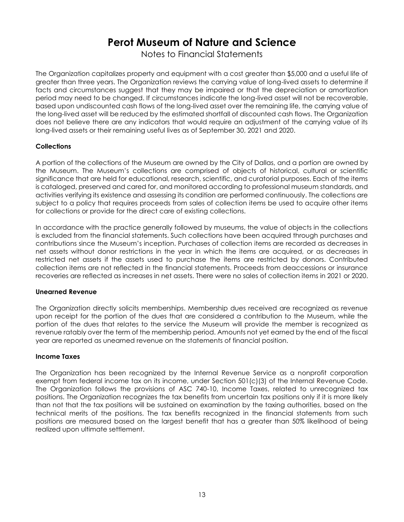Notes to Financial Statements

The Organization capitalizes property and equipment with a cost greater than \$5,000 and a useful life of greater than three years. The Organization reviews the carrying value of long-lived assets to determine if facts and circumstances suggest that they may be impaired or that the depreciation or amortization period may need to be changed. If circumstances indicate the long-lived asset will not be recoverable, based upon undiscounted cash flows of the long-lived asset over the remaining life, the carrying value of the long-lived asset will be reduced by the estimated shortfall of discounted cash flows. The Organization does not believe there are any indicators that would require an adjustment of the carrying value of its long-lived assets or their remaining useful lives as of September 30, 2021 and 2020.

### **Collections**

A portion of the collections of the Museum are owned by the City of Dallas, and a portion are owned by the Museum. The Museum's collections are comprised of objects of historical, cultural or scientific significance that are held for educational, research, scientific, and curatorial purposes. Each of the items is cataloged, preserved and cared for, and monitored according to professional museum standards, and activities verifying its existence and assessing its condition are performed continuously. The collections are subject to a policy that requires proceeds from sales of collection items be used to acquire other items for collections or provide for the direct care of existing collections.

In accordance with the practice generally followed by museums, the value of objects in the collections is excluded from the financial statements. Such collections have been acquired through purchases and contributions since the Museum's inception. Purchases of collection items are recorded as decreases in net assets without donor restrictions in the year in which the items are acquired, or as decreases in restricted net assets if the assets used to purchase the items are restricted by donors. Contributed collection items are not reflected in the financial statements. Proceeds from deaccessions or insurance recoveries are reflected as increases in net assets. There were no sales of collection items in 2021 or 2020.

#### **Unearned Revenue**

The Organization directly solicits memberships. Membership dues received are recognized as revenue upon receipt for the portion of the dues that are considered a contribution to the Museum, while the portion of the dues that relates to the service the Museum will provide the member is recognized as revenue ratably over the term of the membership period. Amounts not yet earned by the end of the fiscal year are reported as unearned revenue on the statements of financial position.

#### **Income Taxes**

The Organization has been recognized by the Internal Revenue Service as a nonprofit corporation exempt from federal income tax on its income, under Section 501(c)(3) of the Internal Revenue Code. The Organization follows the provisions of ASC 740-10, Income Taxes, related to unrecognized tax positions. The Organization recognizes the tax benefits from uncertain tax positions only if it is more likely than not that the tax positions will be sustained on examination by the taxing authorities, based on the technical merits of the positions. The tax benefits recognized in the financial statements from such positions are measured based on the largest benefit that has a greater than 50% likelihood of being realized upon ultimate settlement.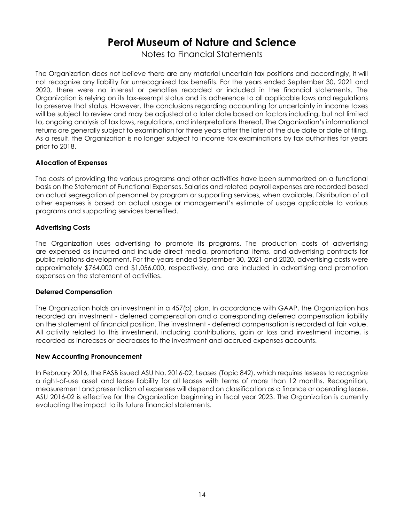Notes to Financial Statements

The Organization does not believe there are any material uncertain tax positions and accordingly, it will not recognize any liability for unrecognized tax benefits. For the years ended September 30, 2021 and 2020, there were no interest or penalties recorded or included in the financial statements. The Organization is relying on its tax-exempt status and its adherence to all applicable laws and regulations to preserve that status. However, the conclusions regarding accounting for uncertainty in income taxes will be subject to review and may be adjusted at a later date based on factors including, but not limited to, ongoing analysis of tax laws, regulations, and interpretations thereof. The Organization's informational returns are generally subject to examination for three years after the later of the due date or date of filing. As a result, the Organization is no longer subject to income tax examinations by tax authorities for years prior to 2018.

### **Allocation of Expenses**

The costs of providing the various programs and other activities have been summarized on a functional basis on the Statement of Functional Expenses. Salaries and related payroll expenses are recorded based on actual segregation of personnel by program or supporting services, when available. Distribution of all other expenses is based on actual usage or management's estimate of usage applicable to various programs and supporting services benefited.

### **Advertising Costs**

The Organization uses advertising to promote its programs. The production costs of advertising are expensed as incurred and include direct media, promotional items, and advertising contracts for public relations development. For the years ended September 30, 2021 and 2020, advertising costs were approximately \$764,000 and \$1,056,000, respectively, and are included in advertising and promotion expenses on the statement of activities.

#### **Deferred Compensation**

The Organization holds an investment in a 457(b) plan. In accordance with GAAP, the Organization has recorded an investment - deferred compensation and a corresponding deferred compensation liability on the statement of financial position. The investment - deferred compensation is recorded at fair value. All activity related to this investment, including contributions, gain or loss and investment income, is recorded as increases or decreases to the investment and accrued expenses accounts.

#### **New Accounting Pronouncement**

In February 2016, the FASB issued ASU No. 2016-02, *Leases* (Topic 842), which requires lessees to recognize a right-of-use asset and lease liability for all leases with terms of more than 12 months. Recognition, measurement and presentation of expenses will depend on classification as a finance or operating lease. ASU 2016-02 is effective for the Organization beginning in fiscal year 2023. The Organization is currently evaluating the impact to its future financial statements.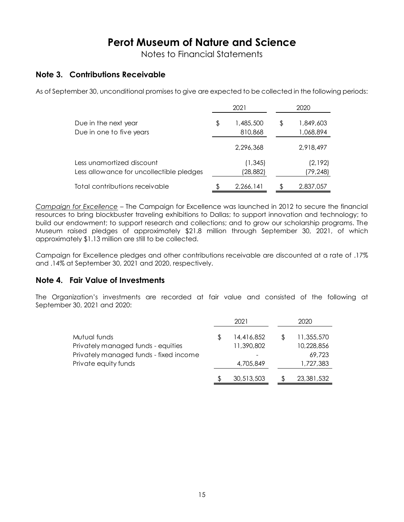Notes to Financial Statements

### **Note 3. Contributions Receivable**

As of September 30, unconditional promises to give are expected to be collected in the following periods:

|                                                                       | 2021                       | 2020                         |  |  |
|-----------------------------------------------------------------------|----------------------------|------------------------------|--|--|
| Due in the next year<br>Due in one to five years                      | \$<br>1,485,500<br>810,868 | \$<br>1,849,603<br>1,068,894 |  |  |
|                                                                       | 2,296,368                  | 2,918,497                    |  |  |
| Less unamortized discount<br>Less allowance for uncollectible pledges | (1, 345)<br>(28, 882)      | (2, 192)<br>(79,248)         |  |  |
| Total contributions receivable                                        | 2,266,141                  | 2,837,057                    |  |  |

*Campaign for Excellence* – The Campaign for Excellence was launched in 2012 to secure the financial resources to bring blockbuster traveling exhibitions to Dallas; to support innovation and technology; to build our endowment; to support research and collections; and to grow our scholarship programs. The Museum raised pledges of approximately \$21.8 million through September 30, 2021, of which approximately \$1.13 million are still to be collected.

Campaign for Excellence pledges and other contributions receivable are discounted at a rate of .17% and .14% at September 30, 2021 and 2020, respectively.

### **Note 4. Fair Value of Investments**

The Organization's investments are recorded at fair value and consisted of the following at September 30, 2021 and 2020:

|                                                    |   | 2021                     | 2020                     |
|----------------------------------------------------|---|--------------------------|--------------------------|
| Mutual funds<br>Privately managed funds - equities | L | 14,416,852<br>11,390,802 | 11,355,570<br>10,228,856 |
| Privately managed funds - fixed income             |   |                          | 69,723                   |
| Private equity funds                               |   | 4,705,849                | 1,727,383                |
|                                                    |   | 30,513,503               | 23,381,532               |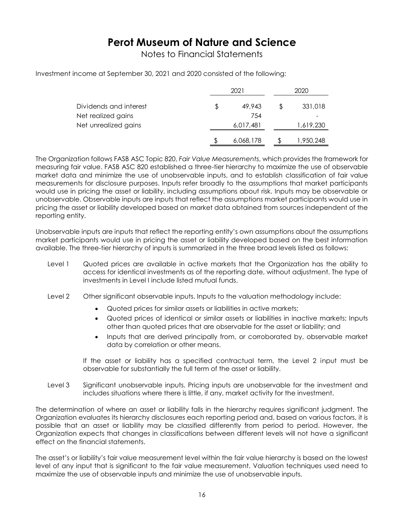Notes to Financial Statements

Investment income at September 30, 2021 and 2020 consisted of the following:

|                        |   | 2021      | 2020 |           |  |
|------------------------|---|-----------|------|-----------|--|
| Dividends and interest | £ | 49.943    | æ.   | 331,018   |  |
| Net realized gains     |   | 754       |      |           |  |
| Net unrealized gains   |   | 6,017,481 |      | 1,619,230 |  |
|                        |   | 6,068,178 | L    | 1,950,248 |  |

The Organization follows FASB ASC Topic 820, *Fair Value Measurements*, which provides the framework for measuring fair value. FASB ASC 820 established a three-tier hierarchy to maximize the use of observable market data and minimize the use of unobservable inputs, and to establish classification of fair value measurements for disclosure purposes. Inputs refer broadly to the assumptions that market participants would use in pricing the asset or liability, including assumptions about risk. Inputs may be observable or unobservable. Observable inputs are inputs that reflect the assumptions market participants would use in pricing the asset or liability developed based on market data obtained from sources independent of the reporting entity.

Unobservable inputs are inputs that reflect the reporting entity's own assumptions about the assumptions market participants would use in pricing the asset or liability developed based on the best information available. The three-tier hierarchy of inputs is summarized in the three broad levels listed as follows:

- Level 1 Quoted prices are available in active markets that the Organization has the ability to access for identical investments as of the reporting date, without adjustment. The type of investments in Level I include listed mutual funds.
- Level 2 Other significant observable inputs. Inputs to the valuation methodology include:
	- Quoted prices for similar assets or liabilities in active markets;
	- Quoted prices of identical or similar assets or liabilities in inactive markets; Inputs other than quoted prices that are observable for the asset or liability; and
	- Inputs that are derived principally from, or corroborated by, observable market data by correlation or other means.

If the asset or liability has a specified contractual term, the Level 2 input must be observable for substantially the full term of the asset or liability.

Level 3 Significant unobservable inputs. Pricing inputs are unobservable for the investment and includes situations where there is little, if any, market activity for the investment.

The determination of where an asset or liability falls in the hierarchy requires significant judgment. The Organization evaluates its hierarchy disclosures each reporting period and, based on various factors, it is possible that an asset or liability may be classified differently from period to period. However, the Organization expects that changes in classifications between different levels will not have a significant effect on the financial statements.

The asset's or liability's fair value measurement level within the fair value hierarchy is based on the lowest level of any input that is significant to the fair value measurement. Valuation techniques used need to maximize the use of observable inputs and minimize the use of unobservable inputs.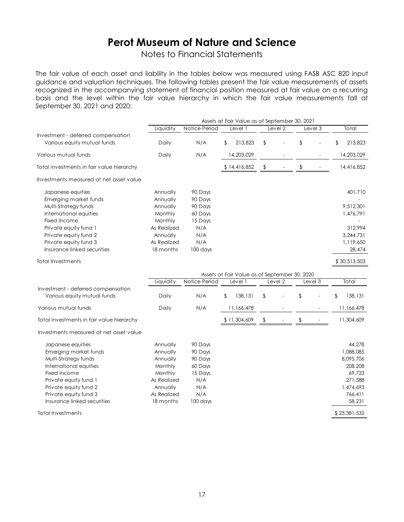Notes to Financial Statements

The fair value of each asset and liability in the tables below was measured using FASB ASC 820 input guidance and valuation techniques. The following tables present the fair value measurements of assets recognized in the accompanying statement of financial position measured at fair value on a recurring basis and the level within the fair value hierarchy in which the fair value measurements fall at September 30, 2021 and 2020:

|                                                                   | Assets at Fair Value as of September 30, 2021 |               |    |                                               |               |         |    |         |    |              |
|-------------------------------------------------------------------|-----------------------------------------------|---------------|----|-----------------------------------------------|---------------|---------|----|---------|----|--------------|
|                                                                   | Liquidity                                     | Notice Period |    | Level 1                                       |               | Level 2 |    | Level 3 |    | Total        |
| Investment - deferred compensation<br>Various equity mutual funds | Daily                                         | N/A           | \$ | 213,823                                       | \$            |         | \$ |         | \$ | 213,823      |
| Various mutual funds                                              | Daily                                         | N/A           |    | 14,203,029                                    |               |         |    |         |    | 14,203,029   |
| Total investments in fair value hierarchy                         |                                               |               |    | \$14,416,852                                  | $\frac{1}{2}$ |         | \$ |         |    | 14,416,852   |
| Investments measured at net asset value                           |                                               |               |    |                                               |               |         |    |         |    |              |
| Japanese equities                                                 | Annually                                      | 90 Days       |    |                                               |               |         |    |         |    | 401,710      |
| Emerging market funds                                             | Annually                                      | 90 Days       |    |                                               |               |         |    |         |    |              |
| Multi-Strategy funds                                              | Annually                                      | 90 Days       |    |                                               |               |         |    |         |    | 9,512,301    |
| International equities                                            | Monthly                                       | 60 Days       |    |                                               |               |         |    |         |    | 1,476,791    |
| Fixed Income                                                      | Monthly                                       | 15 Days       |    |                                               |               |         |    |         |    |              |
| Private equity fund 1                                             | As Realized                                   | N/A           |    |                                               |               |         |    |         |    | 312,994      |
| Private equity fund 2                                             | Annually                                      | N/A           |    |                                               |               |         |    |         |    | 3,244,731    |
| Private equity fund 3                                             | As Realized                                   | N/A           |    |                                               |               |         |    |         |    | 1,119,650    |
| Insurance linked securities                                       | 18 months                                     | 100 days      |    |                                               |               |         |    |         |    | 28,474       |
| <b>Total Investments</b>                                          |                                               |               |    |                                               |               |         |    |         |    | \$30,513,503 |
|                                                                   |                                               |               |    | Assets at Fair Value as of September 30, 2020 |               |         |    |         |    |              |
|                                                                   | Liquidity                                     | Notice Period |    | Level 1                                       |               | Level 2 |    | Level 3 |    | Total        |
| Investment - deferred compensation                                |                                               |               |    |                                               |               |         |    |         |    |              |
| Various equity mutual funds                                       | Daily                                         | N/A           | \$ | 138,131                                       | \$            |         | \$ |         | \$ | 138,131      |
| Various mutual funds                                              | Daily                                         | N/A           |    | 11,166,478                                    |               |         |    |         |    | 11,166,478   |
| Total investments in fair value hierarchy                         |                                               |               |    | \$11,304,609                                  | \$            |         | \$ |         |    | 11,304,609   |
| Investments measured at net asset value                           |                                               |               |    |                                               |               |         |    |         |    |              |
| Japanese equities                                                 | Annually                                      | 90 Days       |    |                                               |               |         |    |         |    | 44,278       |
| Emerging market funds                                             | Annually                                      | 90 Days       |    |                                               |               |         |    |         |    | 1,088,085    |
| Multi-Strategy funds                                              | Annually                                      | 90 Days       |    |                                               |               |         |    |         |    | 8,095,706    |
| International equities                                            | Monthly                                       | 60 Days       |    |                                               |               |         |    |         |    | 208,208      |
| Fixed Income                                                      | Monthly                                       | 15 Days       |    |                                               |               |         |    |         |    | 69,723       |
| Private equity fund 1                                             | As Realized                                   | N/A           |    |                                               |               |         |    |         |    | 271,588      |
| Private equity fund 2                                             | Annually                                      | N/A           |    |                                               |               |         |    |         |    | 1,474,693    |
| Private equity fund 3                                             | As Realized                                   | N/A           |    |                                               |               |         |    |         |    | 766,411      |
| Insurance linked securities                                       | 18 months                                     | 100 days      |    |                                               |               |         |    |         |    | 58,231       |
| <b>Total Investments</b>                                          |                                               |               |    |                                               |               |         |    |         |    | \$23,381,532 |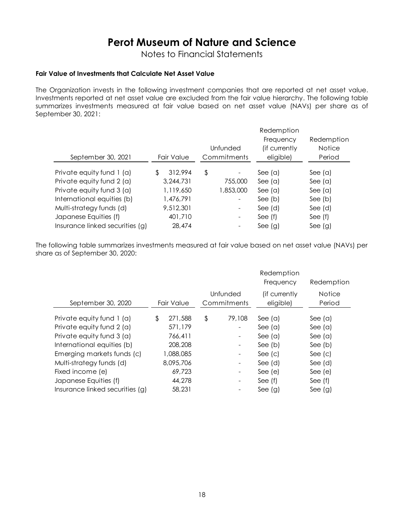Notes to Financial Statements

#### **Fair Value of Investments that Calculate Net Asset Value**

The Organization invests in the following investment companies that are reported at net asset value. Investments reported at net asset value are excluded from the fair value hierarchy. The following table summarizes investments measured at fair value based on net asset value (NAVs) per share as of September 30, 2021:

|                                 |               |             | Redemption    |               |
|---------------------------------|---------------|-------------|---------------|---------------|
|                                 |               |             | Frequency     | Redemption    |
|                                 |               | Unfunded    | (if currently | <b>Notice</b> |
| September 30, 2021              | Fair Value    | Commitments | eligible)     | Period        |
|                                 |               |             |               |               |
| Private equity fund 1 (a)       | 312,994<br>\$ | \$          | See $(a)$     | See $(a)$     |
| Private equity fund 2 (a)       | 3,244,731     | 755,000     | See $(a)$     | See $(a)$     |
| Private equity fund 3 (a)       | 1,119,650     | 1,853,000   | See $(a)$     | See $(a)$     |
| International equities (b)      | 1,476,791     |             | See $(b)$     | See $(b)$     |
| Multi-strategy funds (d)        | 9,512,301     |             | See $(d)$     | See $(d)$     |
| Japanese Equities (f)           | 401,710       |             | See (f)       | See (f)       |
| Insurance linked securities (g) | 28,474        |             | See (g)       | See $(g)$     |

The following table summarizes investments measured at fair value based on net asset value (NAVs) per share as of September 30, 2020:

|                                 |               |                         | Redemption<br>Frequency     | Redemption              |
|---------------------------------|---------------|-------------------------|-----------------------------|-------------------------|
| September 30, 2020              | Fair Value    | Unfunded<br>Commitments | (if currently)<br>eligible) | <b>Notice</b><br>Period |
| Private equity fund 1 (a)       | \$<br>271,588 | \$<br>79,108            | See $(a)$                   | See $(a)$               |
| Private equity fund 2 (a)       | 571,179       |                         | See $(a)$                   | See $(a)$               |
| Private equity fund 3 (a)       | 766,411       | -                       | See $(a)$                   | See $(a)$               |
| International equities (b)      | 208,208       |                         | See (b)                     | See $(b)$               |
| Emerging markets funds (c)      | 1,088,085     | -                       | See $(c)$                   | See $(c)$               |
| Multi-strategy funds (d)        | 8,095,706     |                         | See (d)                     | See $(d)$               |
| Fixed income (e)                | 69,723        |                         | See $(e)$                   | See $(e)$               |
| Japanese Equities (f)           | 44,278        |                         | See (f)                     | See (f)                 |
| Insurance linked securities (g) | 58,231        |                         | See $(g)$                   | See $(g)$               |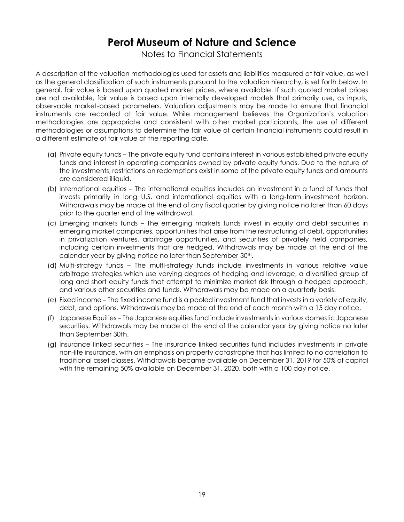Notes to Financial Statements

A description of the valuation methodologies used for assets and liabilities measured at fair value, as well as the general classification of such instruments pursuant to the valuation hierarchy, is set forth below. In general, fair value is based upon quoted market prices, where available. If such quoted market prices are not available, fair value is based upon internally developed models that primarily use, as inputs, observable market-based parameters. Valuation adjustments may be made to ensure that financial instruments are recorded at fair value. While management believes the Organization's valuation methodologies are appropriate and consistent with other market participants, the use of different methodologies or assumptions to determine the fair value of certain financial instruments could result in a different estimate of fair value at the reporting date.

- (a) Private equity funds The private equity fund contains interest in various established private equity funds and interest in operating companies owned by private equity funds. Due to the nature of the investments, restrictions on redemptions exist in some of the private equity funds and amounts are considered illiquid.
- (b) International equities The international equities includes an investment in a fund of funds that invests primarily in long U.S. and international equities with a long-term investment horizon. Withdrawals may be made at the end of any fiscal quarter by giving notice no later than 60 days prior to the quarter end of the withdrawal.
- (c) Emerging markets funds The emerging markets funds invest in equity and debt securities in emerging market companies, opportunities that arise from the restructuring of debt, opportunities in privatization ventures, arbitrage opportunities, and securities of privately held companies, including certain investments that are hedged. Withdrawals may be made at the end of the calendar year by giving notice no later than September 30<sup>th</sup>.
- (d) Multi-strategy funds The multi-strategy funds include investments in various relative value arbitrage strategies which use varying degrees of hedging and leverage, a diversified group of long and short equity funds that attempt to minimize market risk through a hedged approach, and various other securities and funds. Withdrawals may be made on a quarterly basis.
- (e) Fixed income The fixed income fund is a pooled investment fund that invests in a variety of equity, debt, and options. Withdrawals may be made at the end of each month with a 15 day notice.
- (f) Japanese Equities The Japanese equities fund include investments in various domestic Japanese securities. Withdrawals may be made at the end of the calendar year by giving notice no later than September 30th.
- (g) Insurance linked securities The insurance linked securities fund includes investments in private non-life insurance, with an emphasis on property catastrophe that has limited to no correlation to traditional asset classes. Withdrawals became available on December 31, 2019 for 50% of capital with the remaining 50% available on December 31, 2020, both with a 100 day notice.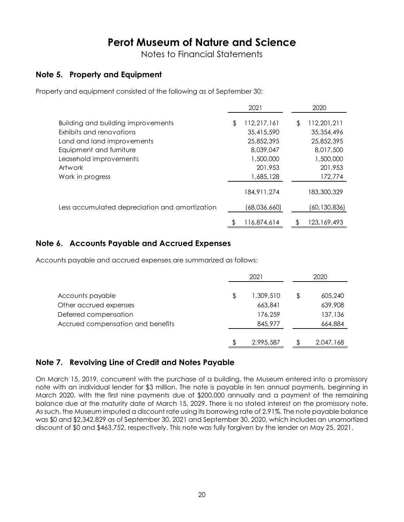Notes to Financial Statements

### **Note 5. Property and Equipment**

Property and equipment consisted of the following as of September 30:

|                                                                                                                                                              | 2021                                                                               |    | 2020                                                                         |
|--------------------------------------------------------------------------------------------------------------------------------------------------------------|------------------------------------------------------------------------------------|----|------------------------------------------------------------------------------|
| Building and building improvements<br>Exhibits and renovations<br>Land and land improvements<br>Equipment and furniture<br>Leasehold improvements<br>Artwork | \$<br>112,217,161<br>35,415,590<br>25,852,395<br>8,039,047<br>1,500,000<br>201,953 | \$ | 112,201,211<br>35,354,496<br>25,852,395<br>8,017,500<br>1,500,000<br>201,953 |
| Work in progress                                                                                                                                             | 1,685,128                                                                          |    | 172,774                                                                      |
|                                                                                                                                                              | 184, 911, 274                                                                      |    | 183,300,329                                                                  |
| Less accumulated depreciation and amortization                                                                                                               | (68,036,660)                                                                       |    | (60,130,836)                                                                 |
|                                                                                                                                                              | \$<br>116,874,614                                                                  | \$ | 123, 169, 493                                                                |

### **Note 6. Accounts Payable and Accrued Expenses**

Accounts payable and accrued expenses are summarized as follows:

|                                   | 2021 |           | 2020 |           |
|-----------------------------------|------|-----------|------|-----------|
|                                   |      |           |      |           |
| Accounts payable                  | \$   | 1,309,510 | S    | 605,240   |
| Other accrued expenses            |      | 663,841   |      | 639,908   |
| Deferred compensation             |      | 176,259   |      | 137,136   |
| Accrued compensation and benefits |      | 845,977   |      | 664,884   |
|                                   |      |           |      |           |
|                                   |      | 2,995,587 | S    | 2.047.168 |

### **Note 7. Revolving Line of Credit and Notes Payable**

On March 15, 2019, concurrent with the purchase of a building, the Museum entered into a promissory note with an individual lender for \$3 million. The note is payable in ten annual payments, beginning in March 2020, with the first nine payments due of \$200,000 annually and a payment of the remaining balance due at the maturity date of March 15, 2029. There is no stated interest on the promissory note. As such, the Museum imputed a discount rate using its borrowing rate of 2.91%. The note payable balance was \$0 and \$2,342,829 as of September 30, 2021 and September 30, 2020, which includes an unamortized discount of \$0 and \$463,752, respectively. This note was fully forgiven by the lender on May 25, 2021.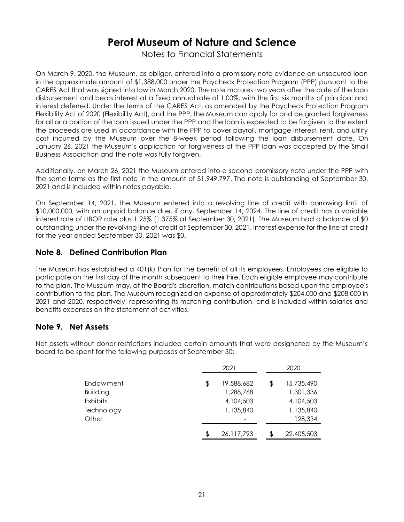Notes to Financial Statements

On March 9, 2020, the Museum, as obligor, entered into a promissory note evidence an unsecured loan in the approximate amount of \$1,388,000 under the Paycheck Protection Program (PPP) pursuant to the CARES Act that was signed into law in March 2020. The note matures two years after the date of the loan disbursement and bears interest at a fixed annual rate of 1.00%, with the first six months of principal and interest deferred. Under the terms of the CARES Act, as amended by the Paycheck Protection Program Flexibility Act of 2020 (Flexibility Act), and the PPP, the Museum can apply for and be granted forgiveness for all or a portion of the loan issued under the PPP and the loan is expected to be forgiven to the extent the proceeds are used in accordance with the PPP to cover payroll, mortgage interest, rent, and utility cost incurred by the Museum over the 8-week period following the loan disbursement date. On January 26, 2021 the Museum's application for forgiveness of the PPP loan was accepted by the Small Business Association and the note was fully forgiven.

Additionally, on March 26, 2021 the Museum entered into a second promissory note under the PPP with the same terms as the first note in the amount of \$1,949,797. The note is outstanding at September 30, 2021 and is included within notes payable.

On September 14, 2021, the Museum entered into a revolving line of credit with borrowing limit of \$10,000,000, with an unpaid balance due, if any, September 14, 2024. The line of credit has a variable interest rate of LIBOR rate plus 1.25% (1.375% at September 30, 2021). The Museum had a balance of \$0 outstanding under the revolving line of credit at September 30, 2021. Interest expense for the line of credit for the year ended September 30, 2021 was \$0.

### **Note 8. Defined Contribution Plan**

The Museum has established a 401(k) Plan for the benefit of all its employees. Employees are eligible to participate on the first day of the month subsequent to their hire. Each eligible employee may contribute to the plan. The Museum may, at the Board's discretion, match contributions based upon the employee's contribution to the plan. The Museum recognized an expense of approximately \$204,000 and \$208,000 in 2021 and 2020, respectively, representing its matching contribution, and is included within salaries and benefits expenses on the statement of activities.

### **Note 9. Net Assets**

Net assets without donor restrictions included certain amounts that were designated by the Museum's board to be spent for the following purposes at September 30:

|                                                          |    | 2021                                                | 2020                                                                 |  |  |
|----------------------------------------------------------|----|-----------------------------------------------------|----------------------------------------------------------------------|--|--|
| Endowment<br>Building<br>Exhibits<br>Technology<br>Other | \$ | 19,588,682<br>1,288,768<br>4, 104, 503<br>1,135,840 | \$<br>15,735,490<br>1,301,336<br>4, 104, 503<br>1,135,840<br>128,334 |  |  |
|                                                          | S  | 26, 117, 793                                        | 22,405,503                                                           |  |  |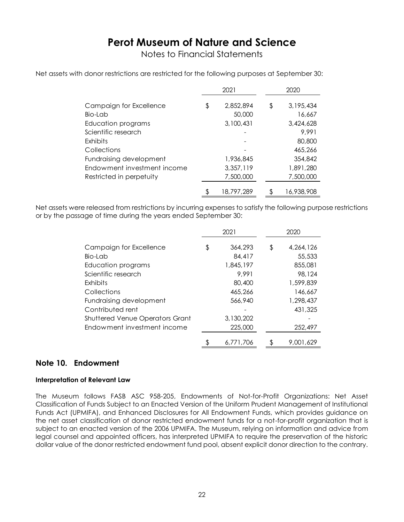Notes to Financial Statements

Net assets with donor restrictions are restricted for the following purposes at September 30:

|                             | 2021             |    | 2020       |  |  |
|-----------------------------|------------------|----|------------|--|--|
| Campaign for Excellence     | \$<br>2,852,894  | \$ | 3,195,434  |  |  |
| Bio-Lab                     | 50,000           |    | 16,667     |  |  |
| Education programs          | 3,100,431        |    | 3,424,628  |  |  |
| Scientific research         |                  |    | 9.991      |  |  |
| Exhibits                    |                  |    | 80,800     |  |  |
| Collections                 |                  |    | 465,266    |  |  |
| Fundraising development     | 1,936,845        |    | 354,842    |  |  |
| Endowment investment income | 3,357,119        |    | 1,891,280  |  |  |
| Restricted in perpetuity    | 7,500,000        |    | 7,500,000  |  |  |
|                             | \$<br>18,797,289 |    | 16,938,908 |  |  |

Net assets were released from restrictions by incurring expenses to satisfy the following purpose restrictions or by the passage of time during the years ended September 30:

|                                        | 2021 |           | 2020            |
|----------------------------------------|------|-----------|-----------------|
| Campaign for Excellence                | \$   | 364,293   | \$<br>4,264,126 |
| Bio-Lab                                |      | 84,417    | 55,533          |
| Education programs                     |      | 1,845,197 | 855,081         |
| Scientific research                    |      | 9,991     | 98,124          |
| Exhibits                               |      | 80,400    | 1,599,839       |
| Collections                            |      | 465,266   | 146.667         |
| Fundraising development                |      | 566,940   | 1,298,437       |
| Contributed rent                       |      |           | 431,325         |
| <b>Shuttered Venue Operators Grant</b> |      | 3,130,202 |                 |
| Endowment investment income            |      | 225,000   | 252,497         |
|                                        | \$   | 6,771,706 | \$<br>9.001.629 |

### **Note 10. Endowment**

#### **Interpretation of Relevant Law**

The Museum follows FASB ASC 958-205, Endowments of Not-for-Profit Organizations: Net Asset Classification of Funds Subject to an Enacted Version of the Uniform Prudent Management of Institutional Funds Act (UPMIFA), and Enhanced Disclosures for All Endowment Funds, which provides guidance on the net asset classification of donor restricted endowment funds for a not-for-profit organization that is subject to an enacted version of the 2006 UPMIFA. The Museum, relying on information and advice from legal counsel and appointed officers, has interpreted UPMIFA to require the preservation of the historic dollar value of the donor restricted endowment fund pool, absent explicit donor direction to the contrary.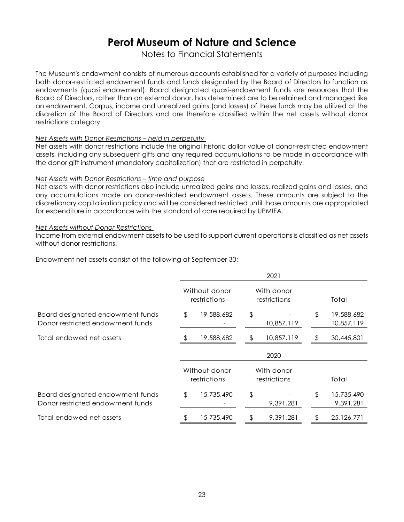### Notes to Financial Statements

The Museum's endowment consists of numerous accounts established for a variety of purposes including both donor-restricted endowment funds and funds designated by the Board of Directors to function as endowments (quasi endowment). Board designated quasi-endowment funds are resources that the Board of Directors, rather than an external donor, has determined are to be retained and managed like an endowment. Corpus, income and unrealized gains (and losses) of these funds may be utilized at the discretion of the Board of Directors and are therefore classified within the net assets without donor restrictions category.

#### *Net Assets with Donor Restrictions – held in perpetuity*

Net assets with donor restrictions include the original historic dollar value of donor-restricted endowment assets, including any subsequent gifts and any required accumulations to be made in accordance with the donor gift instrument (mandatory capitalization) that are restricted in perpetuity.

#### *Net Assets with Donor Restrictions – time and purpose*

Net assets with donor restrictions also include unrealized gains and losses, realized gains and losses, and any accumulations made on donor-restricted endowment assets. These amounts are subject to the discretionary capitalization policy and will be considered restricted until those amounts are appropriated for expenditure in accordance with the standard of care required by UPMIFA.

#### *Net Assets without Donor Restrictions*

Income from external endowment assets to be used to support current operations is classified as net assets without donor restrictions.

|                                                                      | 2021                          |                               |    |                            |    |                          |  |  |  |
|----------------------------------------------------------------------|-------------------------------|-------------------------------|----|----------------------------|----|--------------------------|--|--|--|
|                                                                      | Without donor<br>restrictions |                               |    | With donor<br>restrictions |    | Total                    |  |  |  |
| Board designated endowment funds<br>Donor restricted endowment funds | \$                            | 19,588,682                    | \$ | 10,857,119                 | \$ | 19,588,682<br>10,857,119 |  |  |  |
| Total endowed net assets                                             |                               | 19,588,682                    | \$ | 10,857,119                 |    | 30,445,801               |  |  |  |
|                                                                      |                               |                               |    | 2020                       |    |                          |  |  |  |
|                                                                      |                               | Without donor<br>restrictions |    | With donor<br>restrictions |    | Total                    |  |  |  |
| Board designated endowment funds<br>Donor restricted endowment funds | \$                            | 15,735,490                    | \$ | 9,391,281                  | \$ | 15,735,490<br>9,391,281  |  |  |  |
| Total endowed net assets                                             | \$                            | 15,735,490                    | \$ | 9,391,281                  | \$ | 25, 126, 771             |  |  |  |

Endowment net assets consist of the following at September 30: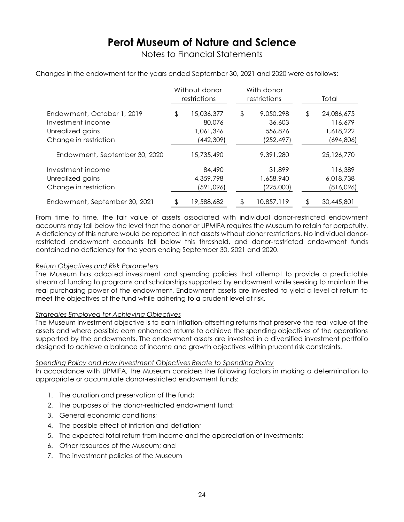Notes to Financial Statements

Changes in the endowment for the years ended September 30, 2021 and 2020 were as follows:

|                                                                                              | Without donor<br>restrictions |                                                | With donor<br>restrictions |                                              | Total                                                 |
|----------------------------------------------------------------------------------------------|-------------------------------|------------------------------------------------|----------------------------|----------------------------------------------|-------------------------------------------------------|
| Endowment, October 1, 2019<br>Investment income<br>Unrealized gains<br>Change in restriction | \$                            | 15,036,377<br>80,076<br>1,061,346<br>(442,309) | \$                         | 9,050,298<br>36,603<br>556,876<br>(252, 497) | \$<br>24,086,675<br>116,679<br>1,618,222<br>(694,806) |
| Endowment, September 30, 2020                                                                |                               | 15,735,490                                     |                            | 9,391,280                                    | 25, 126, 770                                          |
| Investment income<br>Unrealized gains<br>Change in restriction                               |                               | 84,490<br>4,359,798<br>(591,096)               |                            | 31,899<br>1,658,940<br>(225,000)             | 116,389<br>6,018,738<br>(816,096)                     |
| Endowment, September 30, 2021                                                                | S                             | 19,588,682                                     | \$                         | 10.857,119                                   | \$<br>30,445,801                                      |

From time to time, the fair value of assets associated with individual donor-restricted endowment accounts may fall below the level that the donor or UPMIFA requires the Museum to retain for perpetuity. A deficiency of this nature would be reported in net assets without donor restrictions. No individual donorrestricted endowment accounts fell below this threshold, and donor-restricted endowment funds contained no deficiency for the years ending September 30, 2021 and 2020.

#### *Return Objectives and Risk Parameters*

The Museum has adopted investment and spending policies that attempt to provide a predictable stream of funding to programs and scholarships supported by endowment while seeking to maintain the real purchasing power of the endowment. Endowment assets are invested to yield a level of return to meet the objectives of the fund while adhering to a prudent level of risk.

#### *Strategies Employed for Achieving Objectives*

The Museum investment objective is to earn inflation-offsetting returns that preserve the real value of the assets and where possible earn enhanced returns to achieve the spending objectives of the operations supported by the endowments. The endowment assets are invested in a diversified investment portfolio designed to achieve a balance of income and growth objectives within prudent risk constraints.

#### *Spending Policy and How Investment Objectives Relate to Spending Policy*

In accordance with UPMIFA, the Museum considers the following factors in making a determination to appropriate or accumulate donor-restricted endowment funds:

- 1. The duration and preservation of the fund;
- 2. The purposes of the donor-restricted endowment fund;
- 3. General economic conditions;
- 4. The possible effect of inflation and deflation;
- 5. The expected total return from income and the appreciation of investments;
- 6. Other resources of the Museum; and
- 7. The investment policies of the Museum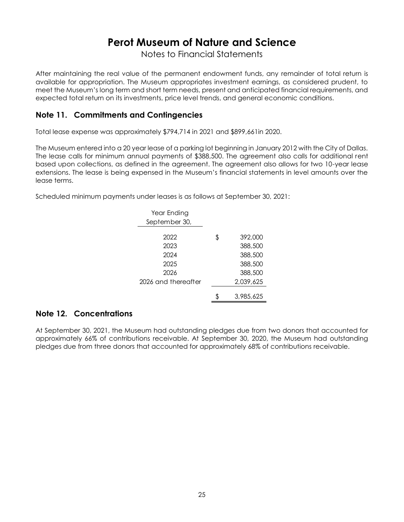Notes to Financial Statements

After maintaining the real value of the permanent endowment funds, any remainder of total return is available for appropriation. The Museum appropriates investment earnings, as considered prudent, to meet the Museum's long term and short term needs, present and anticipated financial requirements, and expected total return on its investments, price level trends, and general economic conditions.

### **Note 11. Commitments and Contingencies**

Total lease expense was approximately \$794,714 in 2021 and \$899,661in 2020.

The Museum entered into a 20 year lease of a parking lot beginning in January 2012 with the City of Dallas. The lease calls for minimum annual payments of \$388,500. The agreement also calls for additional rent based upon collections, as defined in the agreement. The agreement also allows for two 10-year lease extensions. The lease is being expensed in the Museum's financial statements in level amounts over the lease terms.

Scheduled minimum payments under leases is as follows at September 30, 2021:

| Year Ending         |               |
|---------------------|---------------|
| September 30,       |               |
| 2022                | \$<br>392,000 |
| 2023                | 388,500       |
| 2024                | 388,500       |
| 2025                | 388,500       |
| 2026                | 388,500       |
| 2026 and thereafter | 2,039,625     |
|                     | 3,985,625     |

### **Note 12. Concentrations**

At September 30, 2021, the Museum had outstanding pledges due from two donors that accounted for approximately 66% of contributions receivable. At September 30, 2020, the Museum had outstanding pledges due from three donors that accounted for approximately 68% of contributions receivable.